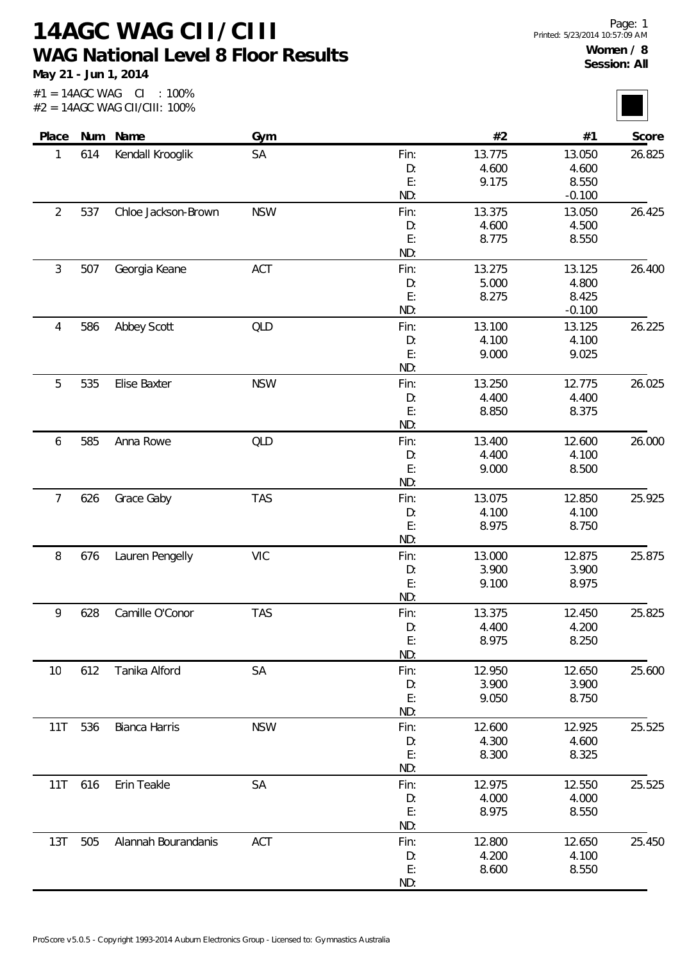## **14AGC WAG CII/CIII WAG National Level 8 Floor Results**

**May 21 - Jun 1, 2014**

 $#1 = 14AGC WAG CI : 100\%$ #2 = 14AGC WAG CII/CIII: 100%

| Place          |     | Num Name            | Gym        |          | #2     | #1              | Score  |
|----------------|-----|---------------------|------------|----------|--------|-----------------|--------|
| 1              | 614 | Kendall Krooglik    | SA         | Fin:     | 13.775 | 13.050          | 26.825 |
|                |     |                     |            | D:       | 4.600  | 4.600           |        |
|                |     |                     |            | E:       | 9.175  | 8.550           |        |
|                |     |                     |            | ND:      |        | $-0.100$        |        |
| $\overline{2}$ | 537 | Chloe Jackson-Brown | <b>NSW</b> | Fin:     | 13.375 | 13.050          | 26.425 |
|                |     |                     |            | D:       | 4.600  | 4.500           |        |
|                |     |                     |            | E:       | 8.775  | 8.550           |        |
|                |     |                     |            | ND:      |        |                 |        |
| 3              | 507 | Georgia Keane       | ACT        | Fin:     | 13.275 | 13.125          | 26.400 |
|                |     |                     |            | D:       | 5.000  | 4.800           |        |
|                |     |                     |            | E:       | 8.275  | 8.425           |        |
|                |     |                     |            | ND:      |        | $-0.100$        |        |
| 4              | 586 | Abbey Scott         | QLD        | Fin:     | 13.100 | 13.125          | 26.225 |
|                |     |                     |            | D:       | 4.100  | 4.100           |        |
|                |     |                     |            | E:       | 9.000  | 9.025           |        |
|                |     |                     |            | ND:      |        |                 |        |
| 5              | 535 | Elise Baxter        | <b>NSW</b> | Fin:     | 13.250 | 12.775          | 26.025 |
|                |     |                     |            | D:       | 4.400  | 4.400           |        |
|                |     |                     |            | E:       | 8.850  | 8.375           |        |
|                |     |                     |            | ND:      |        |                 |        |
| 6              | 585 | Anna Rowe           | <b>QLD</b> | Fin:     | 13.400 | 12.600          | 26.000 |
|                |     |                     |            | D:       | 4.400  | 4.100           |        |
|                |     |                     |            | E:       | 9.000  | 8.500           |        |
|                |     |                     |            | ND:      |        |                 |        |
| 7              | 626 | Grace Gaby          | <b>TAS</b> | Fin:     | 13.075 | 12.850          | 25.925 |
|                |     |                     |            | D:       | 4.100  | 4.100           |        |
|                |     |                     |            | E:       | 8.975  | 8.750           |        |
|                |     |                     |            | ND:      |        |                 |        |
| 8              | 676 | Lauren Pengelly     | VIC        | Fin:     | 13.000 | 12.875          | 25.875 |
|                |     |                     |            | D:       | 3.900  | 3.900           |        |
|                |     |                     |            | E:       | 9.100  | 8.975           |        |
|                |     |                     |            | ND:      |        |                 |        |
| 9              | 628 | Camille O'Conor     | <b>TAS</b> | Fin:     | 13.375 | 12.450          | 25.825 |
|                |     |                     |            | D:       | 4.400  | 4.200           |        |
|                |     |                     |            | E:       | 8.975  | 8.250           |        |
|                |     |                     |            | ND:      |        |                 |        |
| 10             | 612 | Tanika Alford       | <b>SA</b>  | Fin:     | 12.950 | 12.650          | 25.600 |
|                |     |                     |            | D:       | 3.900  | 3.900           |        |
|                |     |                     |            | E:       | 9.050  | 8.750           |        |
|                |     |                     |            | ND:      |        |                 |        |
|                |     | Bianca Harris       | <b>NSW</b> |          | 12.600 |                 | 25.525 |
| 11T            | 536 |                     |            | Fin:     | 4.300  | 12.925<br>4.600 |        |
|                |     |                     |            | D:<br>E: | 8.300  | 8.325           |        |
|                |     |                     |            | ND:      |        |                 |        |
|                |     |                     |            |          |        |                 |        |
| 11T            | 616 | Erin Teakle         | <b>SA</b>  | Fin:     | 12.975 | 12.550          | 25.525 |
|                |     |                     |            | D:<br>E: | 4.000  | 4.000           |        |
|                |     |                     |            |          | 8.975  | 8.550           |        |
|                |     |                     |            | ND:      |        |                 |        |
| 13T            | 505 | Alannah Bourandanis | ACT        | Fin:     | 12.800 | 12.650          | 25.450 |
|                |     |                     |            | D:       | 4.200  | 4.100           |        |
|                |     |                     |            | E:       | 8.600  | 8.550           |        |
|                |     |                     |            | ND:      |        |                 |        |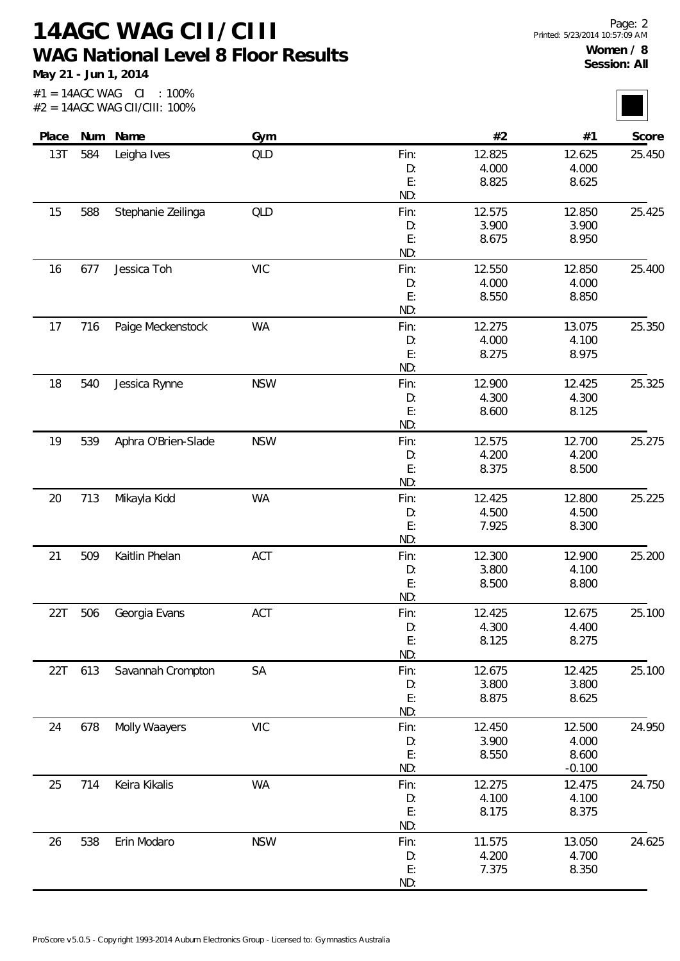**14AGC WAG CII/CIII WAG National Level 8 Floor Results**

**May 21 - Jun 1, 2014**

 $#1 = 14AGC WAG CI : 100\%$ #2 = 14AGC WAG CII/CIII: 100%

| Score  | #1       | #2     |      | Gym        | Num Name            |     | Place |
|--------|----------|--------|------|------------|---------------------|-----|-------|
| 25.450 | 12.625   | 12.825 | Fin: | QLD        | Leigha Ives         | 584 | 13T   |
|        | 4.000    | 4.000  | D:   |            |                     |     |       |
|        | 8.625    | 8.825  | E:   |            |                     |     |       |
|        |          |        | ND:  |            |                     |     |       |
| 25.425 | 12.850   | 12.575 | Fin: | <b>QLD</b> | Stephanie Zeilinga  | 588 | 15    |
|        | 3.900    | 3.900  | D:   |            |                     |     |       |
|        | 8.950    | 8.675  | E:   |            |                     |     |       |
|        |          |        | ND:  |            |                     |     |       |
| 25.400 | 12.850   | 12.550 | Fin: | <b>VIC</b> | Jessica Toh         | 677 | 16    |
|        | 4.000    | 4.000  | D:   |            |                     |     |       |
|        | 8.850    | 8.550  | E:   |            |                     |     |       |
|        |          |        | ND:  |            |                     |     |       |
| 25.350 | 13.075   | 12.275 | Fin: | <b>WA</b>  | Paige Meckenstock   | 716 | 17    |
|        | 4.100    | 4.000  | D:   |            |                     |     |       |
|        | 8.975    | 8.275  | E:   |            |                     |     |       |
|        |          |        | ND:  |            |                     |     |       |
| 25.325 | 12.425   | 12.900 | Fin: | <b>NSW</b> | Jessica Rynne       | 540 | 18    |
|        | 4.300    | 4.300  | D:   |            |                     |     |       |
|        | 8.125    | 8.600  | E:   |            |                     |     |       |
|        |          |        | ND:  |            |                     |     |       |
| 25.275 | 12.700   | 12.575 | Fin: | <b>NSW</b> | Aphra O'Brien-Slade | 539 | 19    |
|        | 4.200    | 4.200  | D:   |            |                     |     |       |
|        | 8.500    | 8.375  | E:   |            |                     |     |       |
|        |          |        | ND:  |            |                     |     |       |
| 25.225 | 12.800   | 12.425 | Fin: | <b>WA</b>  | Mikayla Kidd        | 713 | 20    |
|        | 4.500    | 4.500  | D:   |            |                     |     |       |
|        | 8.300    | 7.925  | E:   |            |                     |     |       |
|        |          |        | ND:  |            |                     |     |       |
| 25.200 | 12.900   | 12.300 | Fin: | ACT        | Kaitlin Phelan      | 509 | 21    |
|        | 4.100    | 3.800  | D:   |            |                     |     |       |
|        | 8.800    | 8.500  | E:   |            |                     |     |       |
|        |          |        | ND:  |            |                     |     |       |
| 25.100 | 12.675   | 12.425 | Fin: | ACT        | Georgia Evans       | 506 | 22T   |
|        | 4.400    | 4.300  | D:   |            |                     |     |       |
|        | 8.275    | 8.125  | E:   |            |                     |     |       |
|        |          |        | ND:  |            |                     |     |       |
| 25.100 | 12.425   | 12.675 | Fin: | SA         | Savannah Crompton   | 613 | 22T   |
|        | 3.800    | 3.800  | D:   |            |                     |     |       |
|        | 8.625    | 8.875  | E:   |            |                     |     |       |
|        |          |        | ND:  |            |                     |     |       |
| 24.950 | 12.500   | 12.450 | Fin: | <b>VIC</b> | Molly Waayers       | 678 | 24    |
|        | 4.000    | 3.900  | D:   |            |                     |     |       |
|        | 8.600    | 8.550  | E:   |            |                     |     |       |
|        | $-0.100$ |        | ND:  |            |                     |     |       |
| 24.750 | 12.475   | 12.275 | Fin: | <b>WA</b>  | Keira Kikalis       | 714 | 25    |
|        | 4.100    | 4.100  | D:   |            |                     |     |       |
|        | 8.375    | 8.175  | E:   |            |                     |     |       |
|        |          |        | ND:  |            |                     |     |       |
| 24.625 | 13.050   | 11.575 | Fin: | <b>NSW</b> | Erin Modaro         | 538 | 26    |
|        | 4.700    | 4.200  | D:   |            |                     |     |       |
|        | 8.350    | 7.375  | E:   |            |                     |     |       |
|        |          |        | ND:  |            |                     |     |       |